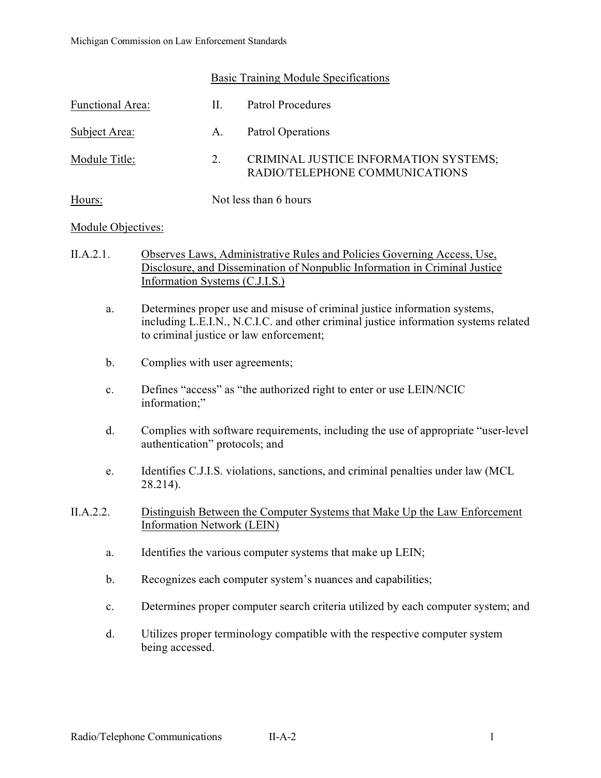## Basic Training Module Specifications

| Functional Area: | Н.                    | Patrol Procedures                                                       |
|------------------|-----------------------|-------------------------------------------------------------------------|
| Subject Area:    | A.                    | Patrol Operations                                                       |
| Module Title:    | 2.                    | CRIMINAL JUSTICE INFORMATION SYSTEMS;<br>RADIO/TELEPHONE COMMUNICATIONS |
| Hours:           | Not less than 6 hours |                                                                         |

## Module Objectives:

- II.A.2.1. Observes Laws, Administrative Rules and Policies Governing Access, Use, Disclosure, and Dissemination of Nonpublic Information in Criminal Justice Information Systems (C.J.I.S.)
	- a. Determines proper use and misuse of criminal justice information systems, including L.E.I.N., N.C.I.C. and other criminal justice information systems related to criminal justice or law enforcement;
	- b. Complies with user agreements;
	- c. Defines "access" as "the authorized right to enter or use LEIN/NCIC information;"
	- d. Complies with software requirements, including the use of appropriate "user-level authentication" protocols; and
	- e. Identifies C.J.I.S. violations, sanctions, and criminal penalties under law (MCL 28.214).
- II.A.2.2. Distinguish Between the Computer Systems that Make Up the Law Enforcement Information Network (LEIN)
	- a. Identifies the various computer systems that make up LEIN;
	- b. Recognizes each computer system's nuances and capabilities;
	- c. Determines proper computer search criteria utilized by each computer system; and
	- d. Utilizes proper terminology compatible with the respective computer system being accessed.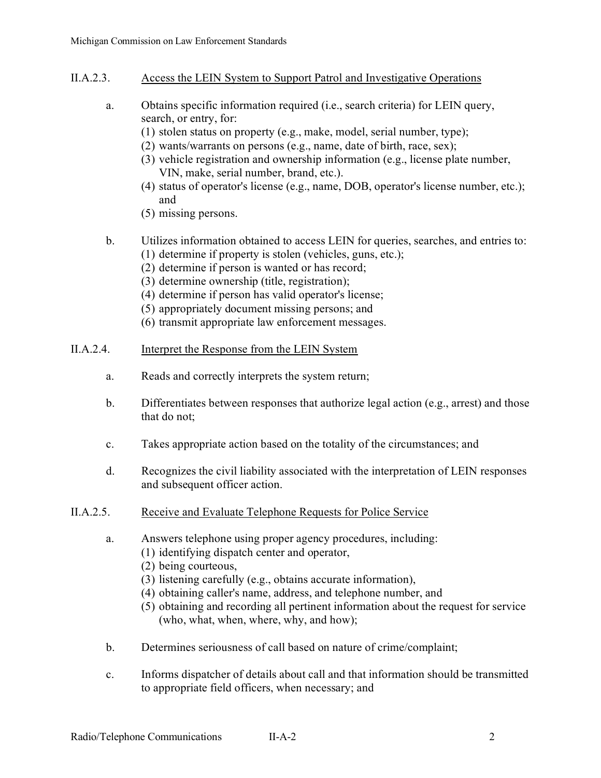- II.A.2.3. Access the LEIN System to Support Patrol and Investigative Operations
	- a. Obtains specific information required (i.e., search criteria) for LEIN query, search, or entry, for:
		- (1) stolen status on property (e.g., make, model, serial number, type);
		- (2) wants/warrants on persons (e.g., name, date of birth, race, sex);
		- (3) vehicle registration and ownership information (e.g., license plate number, VIN, make, serial number, brand, etc.).
		- (4) status of operator's license (e.g., name, DOB, operator's license number, etc.); and
		- (5) missing persons.
	- b. Utilizes information obtained to access LEIN for queries, searches, and entries to: (1) determine if property is stolen (vehicles, guns, etc.);
		- (2) determine if person is wanted or has record;
		- (3) determine ownership (title, registration);
		- (4) determine if person has valid operator's license;
		- (5) appropriately document missing persons; and
		- (6) transmit appropriate law enforcement messages.
- II.A.2.4. Interpret the Response from the LEIN System
	- a. Reads and correctly interprets the system return;
	- b. Differentiates between responses that authorize legal action (e.g., arrest) and those that do not;
	- c. Takes appropriate action based on the totality of the circumstances; and
	- d. Recognizes the civil liability associated with the interpretation of LEIN responses and subsequent officer action.
- II.A.2.5. Receive and Evaluate Telephone Requests for Police Service
	- a. Answers telephone using proper agency procedures, including:
		- (1) identifying dispatch center and operator,
		- (2) being courteous,
		- (3) listening carefully (e.g., obtains accurate information),
		- (4) obtaining caller's name, address, and telephone number, and
		- (5) obtaining and recording all pertinent information about the request for service (who, what, when, where, why, and how);
	- b. Determines seriousness of call based on nature of crime/complaint;
	- c. Informs dispatcher of details about call and that information should be transmitted to appropriate field officers, when necessary; and